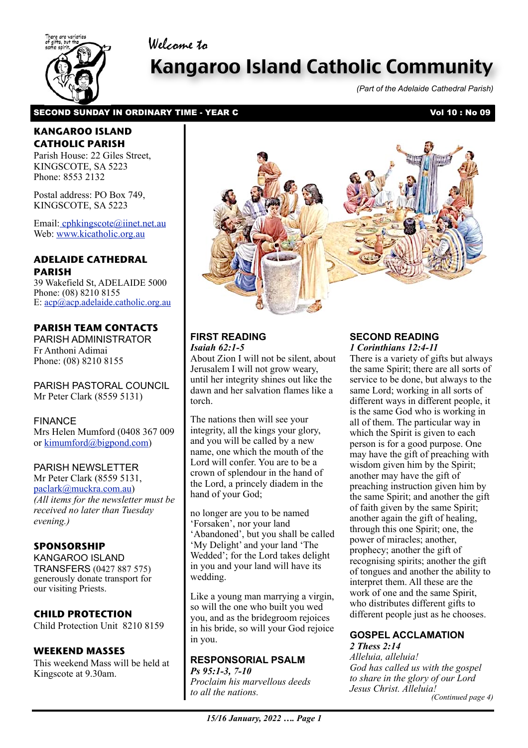## Welcome to



# Kangaroo Island Catholic Community

*(Part of the Adelaide Cathedral Parish)*

## SECOND SUNDAY IN ORDINARY TIME - YEAR C Vol 10 : No 09

## **KANGAROO ISLAND CATHOLIC PARISH**

Parish House: 22 Giles Street, KINGSCOTE, SA 5223 Phone: 8553 2132

Postal address: PO Box 749, KINGSCOTE, SA 5223

Email[: cphkingscote@iinet.net.au](mailto:cphkingscote@iinet.net.au) Web: [www.kicatholic.org.au](http://www.kicatholic.org.au)

## **ADELAIDE CATHEDRAL PARISH**

39 Wakefield St, ADELAIDE 5000 Phone: (08) 8210 8155 E: [acp@acp.adelaide.catholic.org.au](mailto:?subject=)

## **PARISH TEAM CONTACTS**

PARISH ADMINISTRATOR Fr Anthoni Adimai Phone: (08) 8210 8155

PARISH PASTORAL COUNCIL Mr Peter Clark (8559 5131)

FINANCE Mrs Helen Mumford (0408 367 009 or [kimumford@bigpond.com\)](mailto:kimumford@bigpond.com)

## PARISH NEWSLETTER

Mr Peter Clark (8559 5131, [paclark@muckra.com.au\)](mailto:paclark@muckra.com.au) *(All items for the newsletter must be received no later than Tuesday evening.)*

## **SPONSORSHIP**

KANGAROO ISLAND TRANSFERS (0427 887 575) generously donate transport for our visiting Priests.

## **CHILD PROTECTION**

Child Protection Unit 8210 8159

## **WEEKEND MASSES**

This weekend Mass will be held at Kingscote at 9.30am.



#### **FIRST READING** *Isaiah 62:1-5*

About Zion I will not be silent, about Jerusalem I will not grow weary, until her integrity shines out like the dawn and her salvation flames like a torch.

The nations then will see your integrity, all the kings your glory, and you will be called by a new name, one which the mouth of the Lord will confer. You are to be a crown of splendour in the hand of the Lord, a princely diadem in the hand of your God;

no longer are you to be named 'Forsaken', nor your land 'Abandoned', but you shall be called 'My Delight' and your land 'The Wedded'; for the Lord takes delight in you and your land will have its wedding.

Like a young man marrying a virgin, so will the one who built you wed you, and as the bridegroom rejoices in his bride, so will your God rejoice in you.

## **RESPONSORIAL PSALM**

*Ps 95:1-3, 7-10 Proclaim his marvellous deeds to all the nations.*

#### **SECOND READING** *1 Corinthians 12:4-11*

There is a variety of gifts but always the same Spirit; there are all sorts of service to be done, but always to the same Lord; working in all sorts of different ways in different people, it is the same God who is working in all of them. The particular way in which the Spirit is given to each person is for a good purpose. One may have the gift of preaching with wisdom given him by the Spirit; another may have the gift of preaching instruction given him by the same Spirit; and another the gift of faith given by the same Spirit; another again the gift of healing, through this one Spirit; one, the power of miracles; another, prophecy; another the gift of recognising spirits; another the gift of tongues and another the ability to interpret them. All these are the work of one and the same Spirit, who distributes different gifts to different people just as he chooses.

#### **GOSPEL ACCLAMATION** *2 Thess 2:14*

*Alleluia, alleluia! God has called us with the gospel to share in the glory of our Lord Jesus Christ. Alleluia! (Continued page 4)*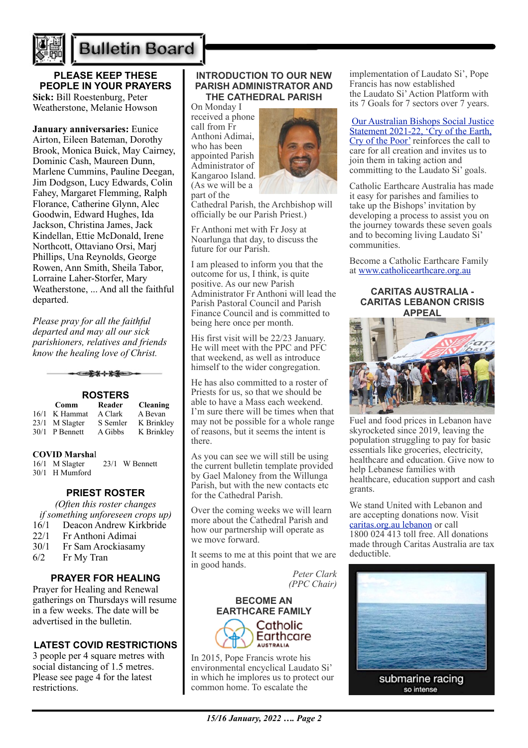

## **Bulletin Board**

#### **PLEASE KEEP THESE PEOPLE IN YOUR PRAYERS Sick:** Bill Roestenburg, Peter Weatherstone, Melanie Howson

**January anniversaries:** Eunice Airton, Eileen Bateman, Dorothy Brook, Monica Buick, May Cairney, Dominic Cash, Maureen Dunn, Marlene Cummins, Pauline Deegan, Jim Dodgson, Lucy Edwards, Colin Fahey, Margaret Flemming, Ralph Florance, Catherine Glynn, Alec Goodwin, Edward Hughes, Ida Jackson, Christina James, Jack Kindellan, Ettie McDonald, Irene Northcott, Ottaviano Orsi, Marj Phillips, Una Reynolds, George Rowen, Ann Smith, Sheila Tabor, Lorraine Laher-Storfer, Mary Weatherstone, ... And all the faithful departed.

*Please pray for all the faithful departed and may all our sick parishioners, relatives and friends know the healing love of Christ.*

#### **ROSTERS Comm Reader Cleaning**

ఆ<del>≵</del>⊁⊹⊁≸≡

| .    |           |          |            |
|------|-----------|----------|------------|
|      | Comm      | Reader   | Cleaning   |
| 16/1 | K Hammat  | A Clark  | A Bevan    |
| 23/1 | M Slagter | S Semler | K Brinkley |
| 30/1 | P Bennett | A Gibbs  | K Brinkley |
|      |           |          |            |

#### **COVID Marsha**l

16/1 M Slagter 23/1 W Bennett 30/1 H Mumford

## **PRIEST ROSTER**

*(Often this roster changes if something unforeseen crops up)* 16/1 Deacon Andrew Kirkbride 22/1 Fr Anthoni Adimai 30/1 Fr Sam Arockiasamy

6/2 Fr My Tran

## **PRAYER FOR HEALING**

Prayer for Healing and Renewal gatherings on Thursdays will resume in a few weeks. The date will be advertised in the bulletin.

## **LATEST COVID RESTRICTIONS**

3 people per 4 square metres with social distancing of 1.5 metres. Please see page 4 for the latest restrictions.

#### **INTRODUCTION TO OUR NEW PARISH ADMINISTRATOR AND THE CATHEDRAL PARISH**

On Monday I received a phone call from Fr Anthoni Adimai, who has been appointed Parish Administrator of Kangaroo Island. (As we will be a part of the



Cathedral Parish, the Archbishop will officially be our Parish Priest.)

Fr Anthoni met with Fr Josy at Noarlunga that day, to discuss the future for our Parish.

I am pleased to inform you that the outcome for us, I think, is quite positive. As our new Parish Administrator Fr Anthoni will lead the Parish Pastoral Council and Parish Finance Council and is committed to being here once per month.

His first visit will be 22/23 January. He will meet with the PPC and PFC that weekend, as well as introduce himself to the wider congregation.

He has also committed to a roster of Priests for us, so that we should be able to have a Mass each weekend. I'm sure there will be times when that may not be possible for a whole range of reasons, but it seems the intent is there.

As you can see we will still be using the current bulletin template provided by Gael Maloney from the Willunga Parish, but with the new contacts etc for the Cathedral Parish.

Over the coming weeks we will learn more about the Cathedral Parish and how our partnership will operate as we move forward.

It seems to me at this point that we are in good hands.

*Peter Clark (PPC Chair)*



In 2015, Pope Francis wrote his environmental encyclical [Laudato Si'](https://www.vatican.va/content/francesco/en/encyclicals/documents/papa-francesco_20150524_enciclica-laudato-si.html) in which he implores us to protect our common home. To escalate the

#### [Our Australian Bishops Social Justice](https://socialjustice.catholic.org.au/2021/09/24/social-justice-statement-2021-22/)  Statement 2021-22, 'Cry of the Earth, [Cry of the Poor'](https://socialjustice.catholic.org.au/2021/09/24/social-justice-statement-2021-22/) reinforces the call to care for all creation and invites us to join them in taking action and committing to the Laudato Si' goals.

Catholic Earthcare Australia has made it easy for parishes and families to take up the Bishops' invitation by developing a process to assist you on the journey towards these seven goals and to becoming living Laudato Si' communities.

Become a Catholic Earthcare Family at [www.catholicearthcare.org.au](http://www.catholicearthcare.org.au)

#### **CARITAS AUSTRALIA - CARITAS LEBANON CRISIS APPEAL**



Fuel and food prices in Lebanon have skyrocketed since 2019, leaving the population struggling to pay for basic essentials like groceries, electricity, healthcare and education. Give now to help Lebanese families with healthcare, education support and cash grants.

We stand United with Lebanon and are accepting donations now. Visit [caritas.org.au lebanon](http://www.google.com.au/) or call 1800 024 413 toll free. All donations made through Caritas Australia are tax deductible.

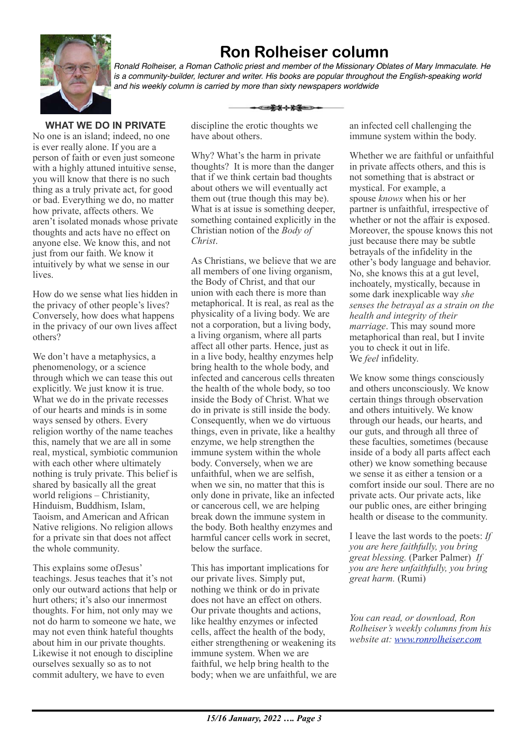

## **Ron Rolheiser column**

*Ronald Rolheiser, a Roman Catholic priest and member of the Missionary Oblates of Mary Immaculate. He is a community-builder, lecturer and writer. His books are popular throughout the English-speaking world and his weekly column is carried by more than sixty newspapers worldwide*

**WHAT WE DO IN PRIVATE**

No one is an island; indeed, no one is ever really alone. If you are a person of faith or even just someone with a highly attuned intuitive sense, you will know that there is no such thing as a truly private act, for good or bad. Everything we do, no matter how private, affects others. We aren't isolated monads whose private thoughts and acts have no effect on anyone else. We know this, and not just from our faith. We know it intuitively by what we sense in our lives.

How do we sense what lies hidden in the privacy of other people's lives? Conversely, how does what happens in the privacy of our own lives affect others?

We don't have a metaphysics, a phenomenology, or a science through which we can tease this out explicitly. We just know it is true. What we do in the private recesses of our hearts and minds is in some ways sensed by others. Every religion worthy of the name teaches this, namely that we are all in some real, mystical, symbiotic communion with each other where ultimately nothing is truly private. This belief is shared by basically all the great world religions – Christianity, Hinduism, Buddhism, Islam, Taoism, and American and African Native religions. No religion allows for a private sin that does not affect the whole community.

This explains some ofJesus' teachings. Jesus teaches that it's not only our outward actions that help or hurt others; it's also our innermost thoughts. For him, not only may we not do harm to someone we hate, we may not even think hateful thoughts about him in our private thoughts. Likewise it not enough to discipline ourselves sexually so as to not commit adultery, we have to even

ఆ≩⊀⊹⊁≨≡⇒∙

discipline the erotic thoughts we have about others.

Why? What's the harm in private thoughts? It is more than the danger that if we think certain bad thoughts about others we will eventually act them out (true though this may be). What is at issue is something deeper, something contained explicitly in the Christian notion of the *Body of Christ*.

As Christians, we believe that we are all members of one living organism, the Body of Christ, and that our union with each there is more than metaphorical. It is real, as real as the physicality of a living body. We are not a corporation, but a living body, a living organism, where all parts affect all other parts. Hence, just as in a live body, healthy enzymes help bring health to the whole body, and infected and cancerous cells threaten the health of the whole body, so too inside the Body of Christ. What we do in private is still inside the body. Consequently, when we do virtuous things, even in private, like a healthy enzyme, we help strengthen the immune system within the whole body. Conversely, when we are unfaithful, when we are selfish, when we sin, no matter that this is only done in private, like an infected or cancerous cell, we are helping break down the immune system in the body. Both healthy enzymes and harmful cancer cells work in secret, below the surface.

This has important implications for our private lives. Simply put, nothing we think or do in private does not have an effect on others. Our private thoughts and actions, like healthy enzymes or infected cells, affect the health of the body, either strengthening or weakening its immune system. When we are faithful, we help bring health to the body; when we are unfaithful, we are an infected cell challenging the immune system within the body.

Whether we are faithful or unfaithful in private affects others, and this is not something that is abstract or mystical. For example, a spouse *knows* when his or her partner is unfaithful, irrespective of whether or not the affair is exposed. Moreover, the spouse knows this not just because there may be subtle betrayals of the infidelity in the other's body language and behavior. No, she knows this at a gut level, inchoately, mystically, because in some dark inexplicable way *she senses the betrayal as a strain on the health and integrity of their marriage*. This may sound more metaphorical than real, but I invite you to check it out in life. We *feel* infidelity.

We know some things consciously and others unconsciously. We know certain things through observation and others intuitively. We know through our heads, our hearts, and our guts, and through all three of these faculties, sometimes (because inside of a body all parts affect each other) we know something because we sense it as either a tension or a comfort inside our soul. There are no private acts. Our private acts, like our public ones, are either bringing health or disease to the community.

I leave the last words to the poets: *If you are here faithfully, you bring great blessing.* (Parker Palmer) *If you are here unfaithfully, you bring great harm.* (Rumi)

*You can read, or download, Ron Rolheiser's weekly columns from his website at: [www.ronrolheiser.com](http://www.ronrolheiser.com)*